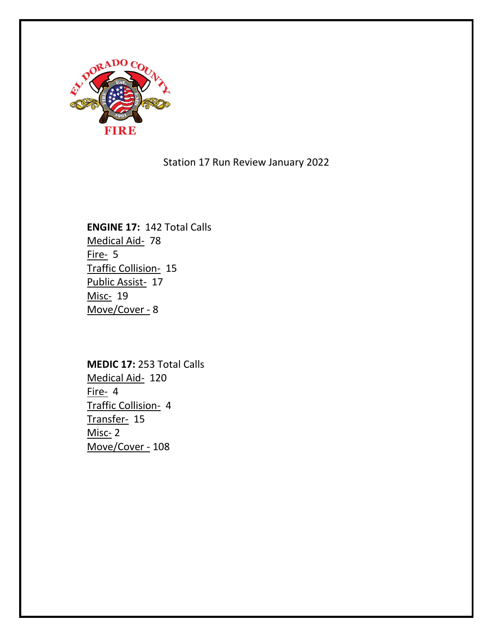

Station 17 Run Review January 2022

**ENGINE 17:** 142 Total Calls Medical Aid- 78 Fire- 5 Traffic Collision- 15 Public Assist- 17 Misc- 19 Move/Cover - 8

**MEDIC 17:** 253 Total Calls Medical Aid- 120 Fire- 4 Traffic Collision- 4 Transfer- 15 Misc- 2 Move/Cover - 108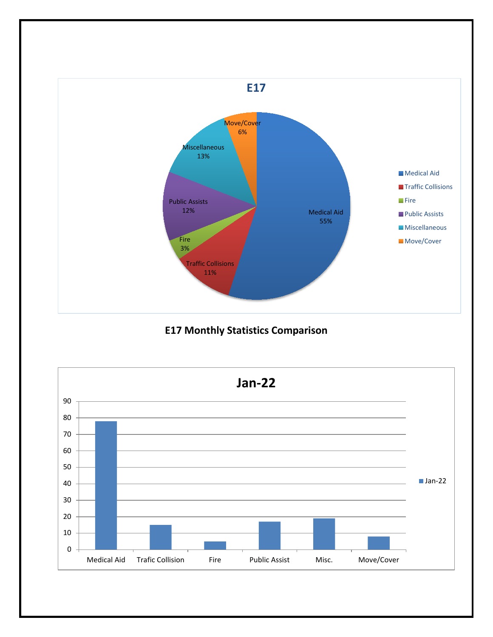

# **E17 Monthly Statistics Comparison**

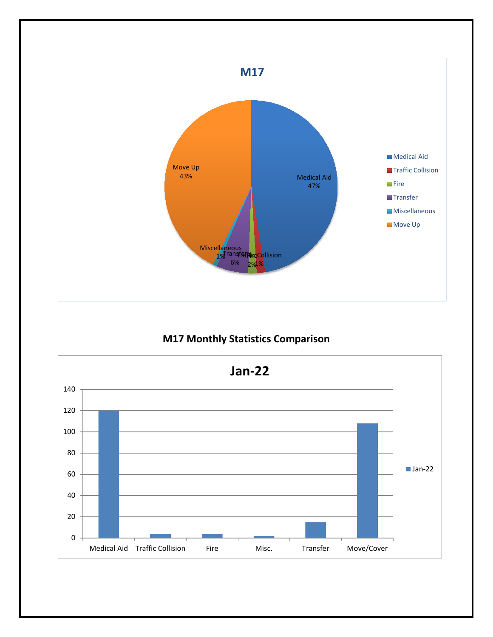

## **M17 Monthly Statistics Comparison**

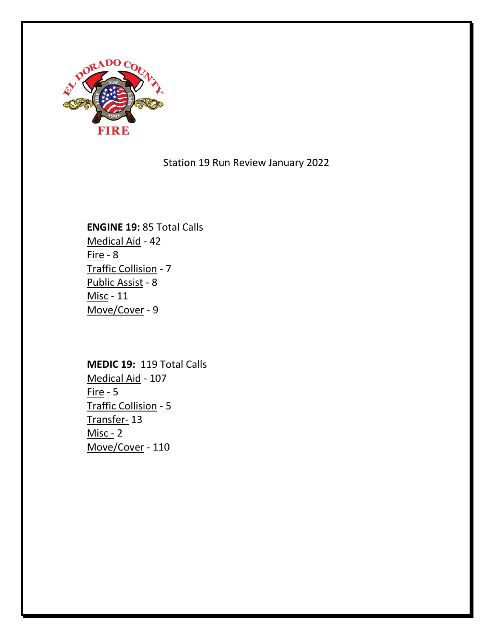

Station 19 Run Review January 2022

**ENGINE 19:** 85 Total Calls Medical Aid - 42 Fire -  $8$ Traffic Collision - 7 Public Assist - 8 Misc - 11 Move/Cover - 9

**MEDIC 19:** 119 Total Calls Medical Aid - 107 Fire - 5 Traffic Collision - 5 Transfer- 13 Misc - 2 Move/Cover - 110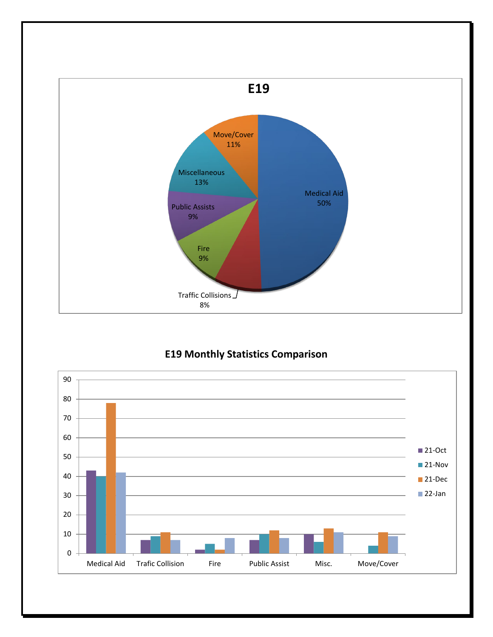

## **E19 Monthly Statistics Comparison**

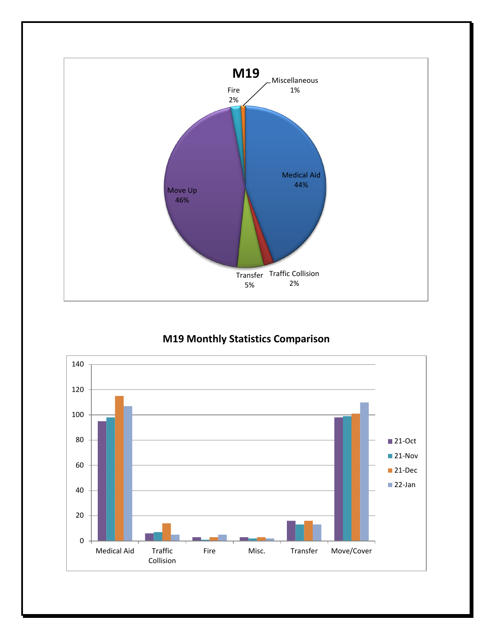

## **M19 Monthly Statistics Comparison**

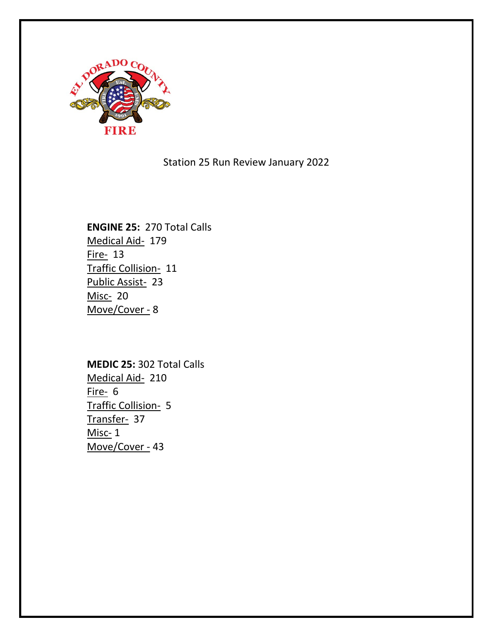

Station 25 Run Review January 2022

**ENGINE 25:** 270 Total Calls Medical Aid- 179 Fire- 13 Traffic Collision- 11 Public Assist- 23 Misc- 20 Move/Cover - 8

**MEDIC 25:** 302 Total Calls Medical Aid- 210 Fire- 6 Traffic Collision- 5 Transfer- 37 Misc- 1 Move/Cover - 43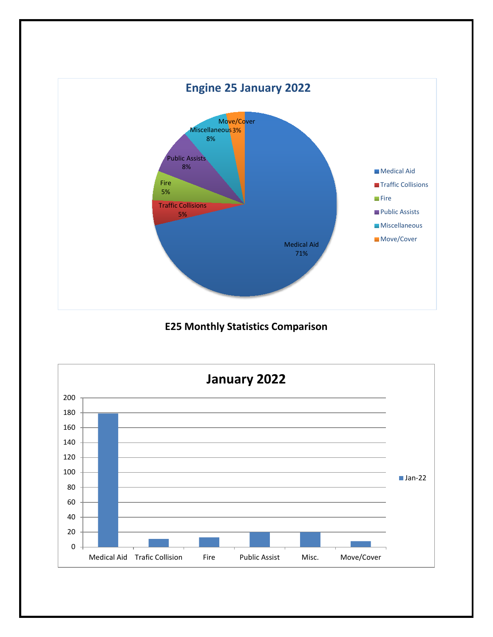

**E25 Monthly Statistics Comparison**

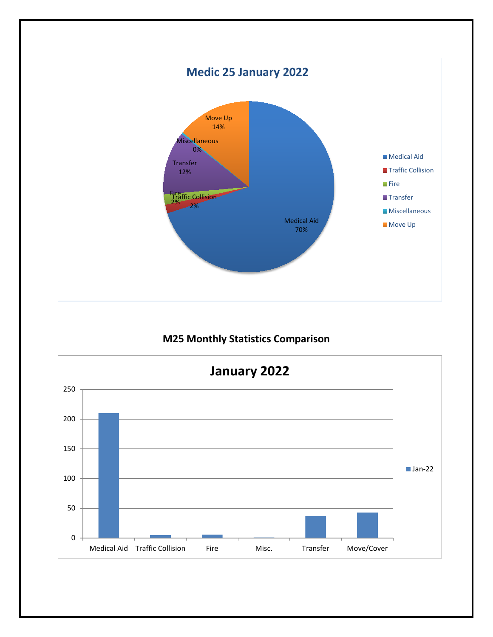

#### **M25 Monthly Statistics Comparison**

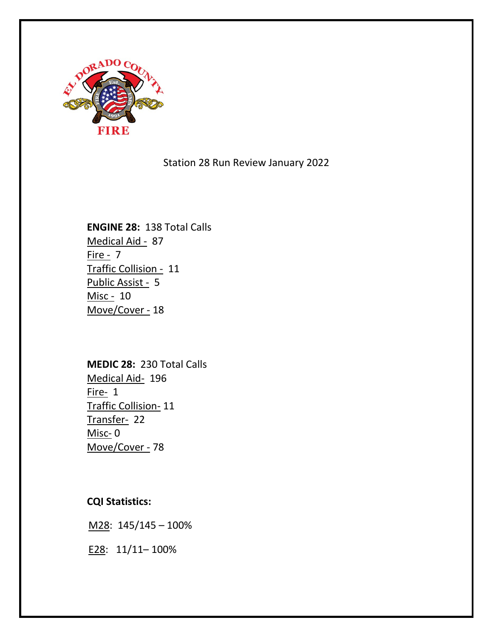

Station 28 Run Review January 2022

# **ENGINE 28:** 138 Total Calls Medical Aid - 87 Fire - 7 Traffic Collision - 11 Public Assist - 5 Misc - 10 Move/Cover - 18

**MEDIC 28:** 230 Total Calls Medical Aid- 196 Fire- 1 Traffic Collision- 11 Transfer- 22 Misc- 0 Move/Cover - 78

**CQI Statistics:** 

M28: 145/145 – 100%

E28: 11/11– 100%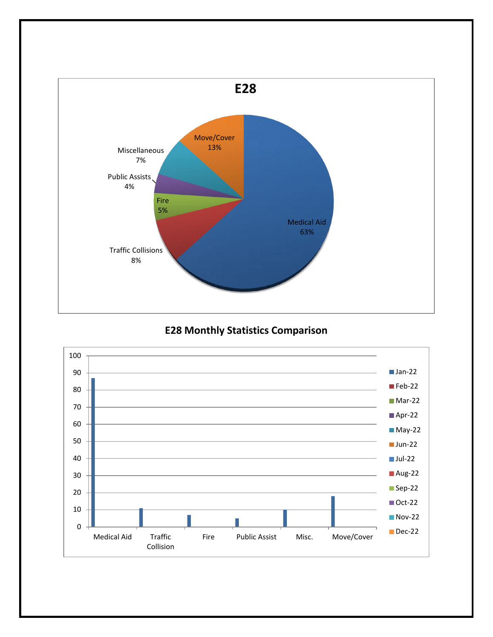

**E28 Monthly Statistics Comparison**

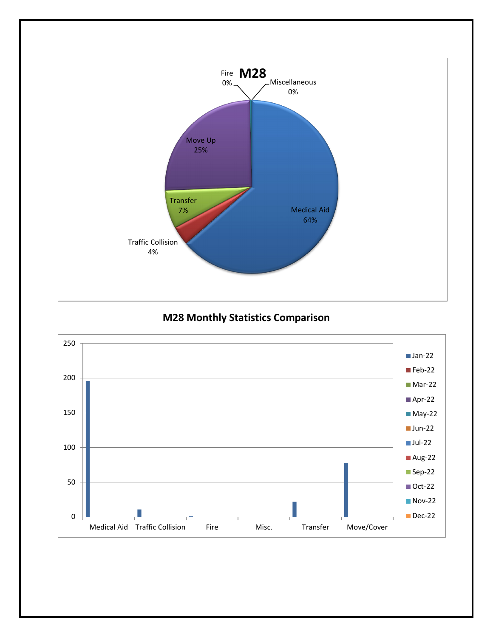

**M28 Monthly Statistics Comparison**

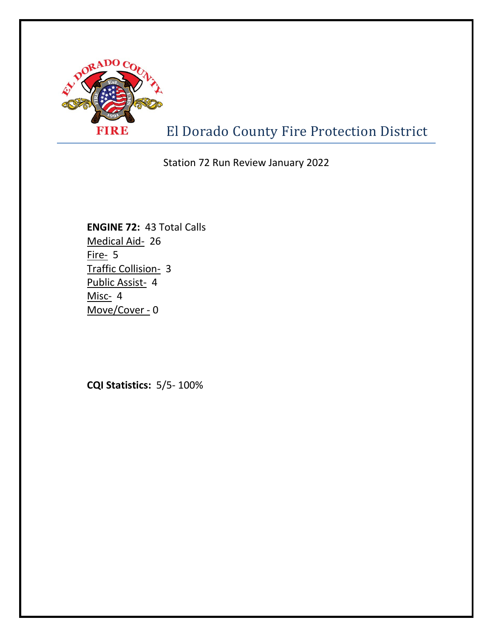

El Dorado County Fire Protection District

Station 72 Run Review January 2022

**ENGINE 72:** 43 Total Calls Medical Aid- 26 Fire- 5 Traffic Collision- 3 Public Assist- 4 Misc- 4 Move/Cover - 0

**CQI Statistics:** 5/5- 100%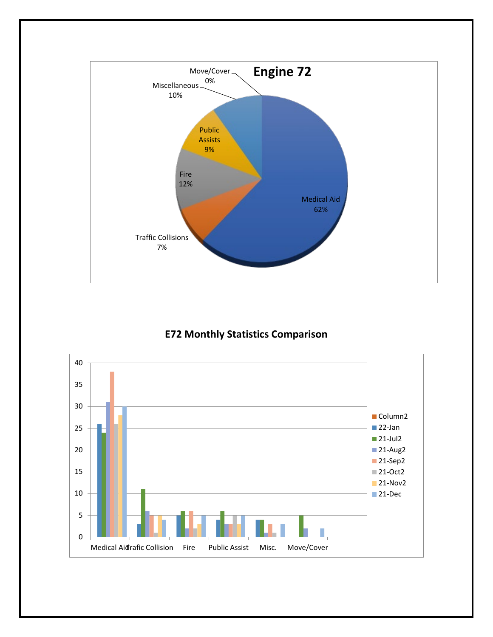

#### **E72 Monthly Statistics Comparison**

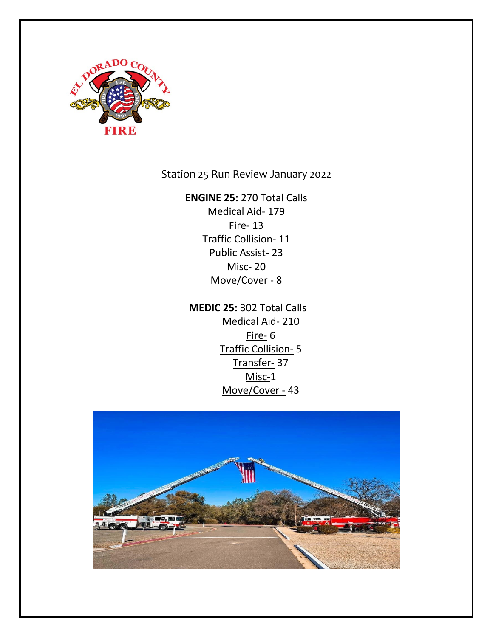

Station 25 Run Review January 2022

**ENGINE 25:** 270 Total Calls

Medical Aid- 179 Fire- 13 Traffic Collision- 11 Public Assist- 23 Misc- 20 Move/Cover - 8

 **MEDIC 25:** 302 Total Calls Medical Aid- 210 Fire- 6 Traffic Collision- 5 Transfer- 37 Misc-1 Move/Cover - 43

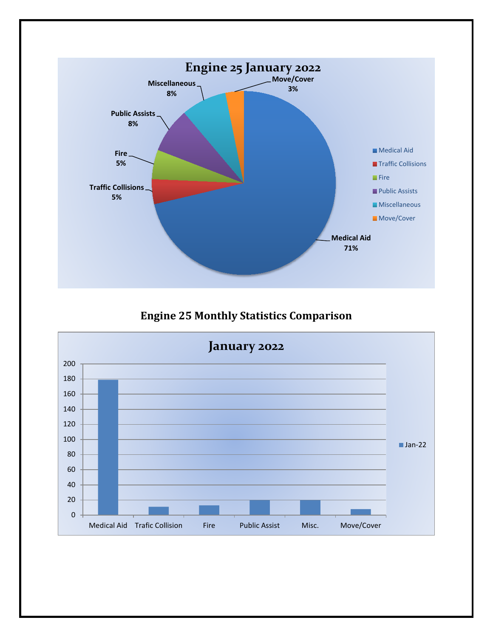

**Engine 25 Monthly Statistics Comparison**

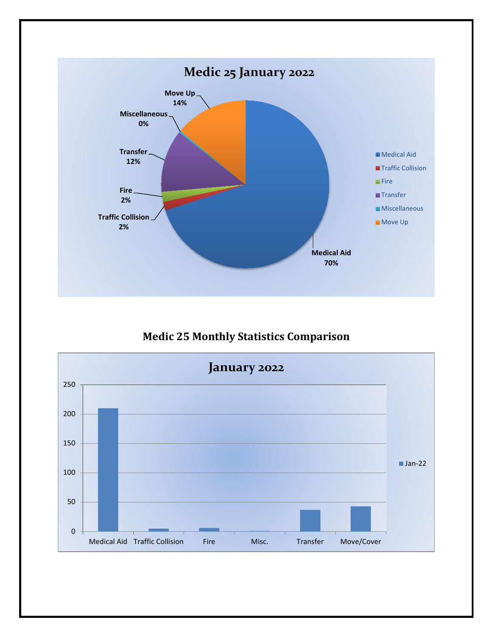

**Medic 25 Monthly Statistics Comparison**

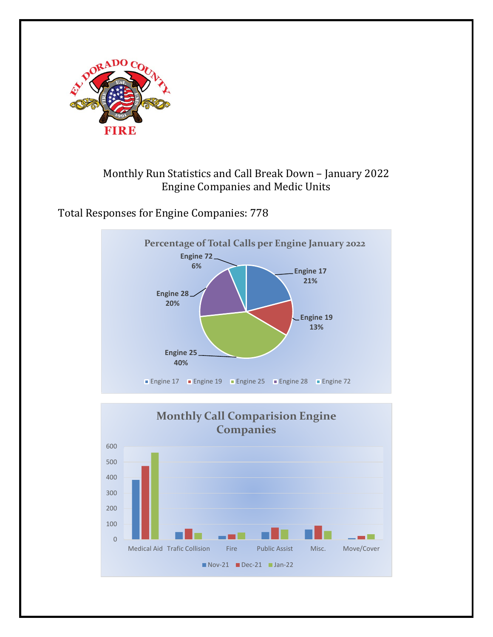

# Monthly Run Statistics and Call Break Down – January 2022 Engine Companies and Medic Units

Total Responses for Engine Companies: 778